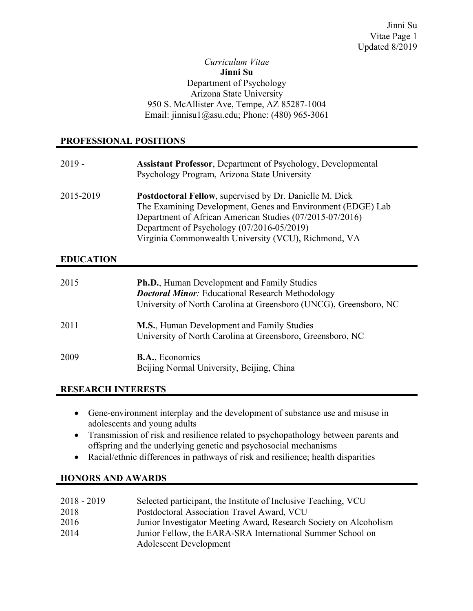#### *Curriculum Vitae* **Jinni Su** Department of Psychology Arizona State University 950 S. McAllister Ave, Tempe, AZ 85287-1004 Email: jinnisu1@asu.edu; Phone: (480) 965-3061

# **PROFESSIONAL POSITIONS**

| $2019 -$         | <b>Assistant Professor, Department of Psychology, Developmental</b><br>Psychology Program, Arizona State University                                                                                                                                                                             |
|------------------|-------------------------------------------------------------------------------------------------------------------------------------------------------------------------------------------------------------------------------------------------------------------------------------------------|
| 2015-2019        | <b>Postdoctoral Fellow, supervised by Dr. Danielle M. Dick</b><br>The Examining Development, Genes and Environment (EDGE) Lab<br>Department of African American Studies (07/2015-07/2016)<br>Department of Psychology (07/2016-05/2019)<br>Virginia Commonwealth University (VCU), Richmond, VA |
| <b>EDUCATION</b> |                                                                                                                                                                                                                                                                                                 |
| 2015             | <b>Ph.D.</b> , Human Development and Family Studies<br><b>Doctoral Minor:</b> Educational Research Methodology<br>University of North Carolina at Greensboro (UNCG), Greensboro, NC                                                                                                             |

| 2011 | <b>M.S.</b> , Human Development and Family Studies         |
|------|------------------------------------------------------------|
|      | University of North Carolina at Greensboro, Greensboro, NC |

#### 2009 **B.A.**, Economics Beijing Normal University, Beijing, China

# **RESEARCH INTERESTS**

- Gene-environment interplay and the development of substance use and misuse in adolescents and young adults
- Transmission of risk and resilience related to psychopathology between parents and offspring and the underlying genetic and psychosocial mechanisms
- Racial/ethnic differences in pathways of risk and resilience; health disparities

# **HONORS AND AWARDS**

| $2018 - 2019$ | Selected participant, the Institute of Inclusive Teaching, VCU    |
|---------------|-------------------------------------------------------------------|
| 2018          | Postdoctoral Association Travel Award, VCU                        |
| 2016          | Junior Investigator Meeting Award, Research Society on Alcoholism |
| 2014          | Junior Fellow, the EARA-SRA International Summer School on        |
|               | <b>Adolescent Development</b>                                     |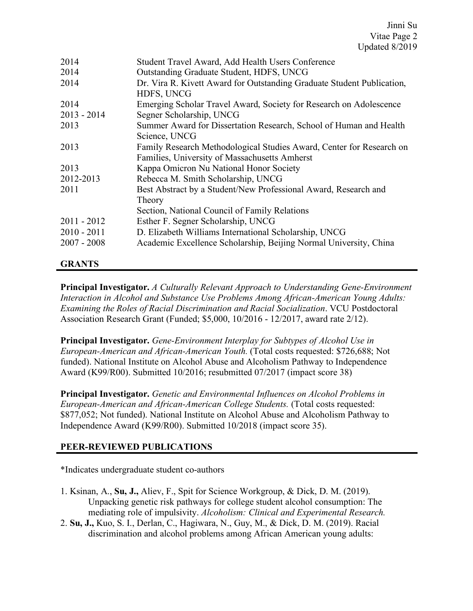| 2014          | Student Travel Award, Add Health Users Conference                                                                     |
|---------------|-----------------------------------------------------------------------------------------------------------------------|
| 2014          | Outstanding Graduate Student, HDFS, UNCG                                                                              |
| 2014          | Dr. Vira R. Kivett Award for Outstanding Graduate Student Publication,<br>HDFS, UNCG                                  |
| 2014          | Emerging Scholar Travel Award, Society for Research on Adolescence                                                    |
| $2013 - 2014$ | Segner Scholarship, UNCG                                                                                              |
| 2013          | Summer Award for Dissertation Research, School of Human and Health<br>Science, UNCG                                   |
| 2013          | Family Research Methodological Studies Award, Center for Research on<br>Families, University of Massachusetts Amherst |
| 2013          | Kappa Omicron Nu National Honor Society                                                                               |
| 2012-2013     | Rebecca M. Smith Scholarship, UNCG                                                                                    |
| 2011          | Best Abstract by a Student/New Professional Award, Research and<br>Theory                                             |
|               | Section, National Council of Family Relations                                                                         |
| $2011 - 2012$ | Esther F. Segner Scholarship, UNCG                                                                                    |
| $2010 - 2011$ | D. Elizabeth Williams International Scholarship, UNCG                                                                 |
| $2007 - 2008$ | Academic Excellence Scholarship, Beijing Normal University, China                                                     |

# **GRANTS**

● **Principal Investigator.** *A Culturally Relevant Approach to Understanding Gene-Environment Interaction in Alcohol and Substance Use Problems Among African-American Young Adults: Examining the Roles of Racial Discrimination and Racial Socialization*. VCU Postdoctoral Association Research Grant (Funded; \$5,000, 10/2016 - 12/2017, award rate 2/12).

● **Principal Investigator.** *Gene-Environment Interplay for Subtypes of Alcohol Use in European-American and African-American Youth.* (Total costs requested: \$726,688; Not funded). National Institute on Alcohol Abuse and Alcoholism Pathway to Independence Award (K99/R00). Submitted 10/2016; resubmitted 07/2017 (impact score 38)

● **Principal Investigator.** *Genetic and Environmental Influences on Alcohol Problems in European-American and African-American College Students.* (Total costs requested: \$877,052; Not funded). National Institute on Alcohol Abuse and Alcoholism Pathway to Independence Award (K99/R00). Submitted 10/2018 (impact score 35).

## **PEER-REVIEWED PUBLICATIONS**

\*Indicates undergraduate student co-authors

- 1. Ksinan, A., **Su, J.,** Aliev, F., Spit for Science Workgroup, & Dick, D. M. (2019). Unpacking genetic risk pathways for college student alcohol consumption: The mediating role of impulsivity. *Alcoholism: Clinical and Experimental Research.*
- 2. **Su, J.,** Kuo, S. I., Derlan, C., Hagiwara, N., Guy, M., & Dick, D. M. (2019). Racial discrimination and alcohol problems among African American young adults: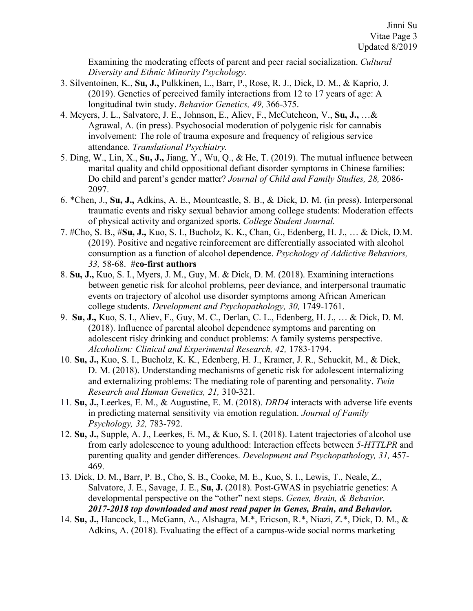Examining the moderating effects of parent and peer racial socialization. *Cultural Diversity and Ethnic Minority Psychology.*

- 3. Silventoinen, K., **Su, J.,** Pulkkinen, L., Barr, P., Rose, R. J., Dick, D. M., & Kaprio, J. (2019). Genetics of perceived family interactions from 12 to 17 years of age: A longitudinal twin study. *Behavior Genetics, 49,* 366-375.
- 4. Meyers, J. L., Salvatore, J. E., Johnson, E., Aliev, F., McCutcheon, V., **Su, J.,** …& Agrawal, A. (in press). Psychosocial moderation of polygenic risk for cannabis involvement: The role of trauma exposure and frequency of religious service attendance. *Translational Psychiatry.*
- 5. Ding, W., Lin, X., **Su, J.,** Jiang, Y., Wu, Q., & He, T. (2019). The mutual influence between marital quality and child oppositional defiant disorder symptoms in Chinese families: Do child and parent's gender matter? *Journal of Child and Family Studies, 28,* 2086- 2097.
- 6. \*Chen, J., **Su, J.,** Adkins, A. E., Mountcastle, S. B., & Dick, D. M. (in press). Interpersonal traumatic events and risky sexual behavior among college students: Moderation effects of physical activity and organized sports. *College Student Journal.*
- 7. #Cho, S. B., #**Su, J.,** Kuo, S. I., Bucholz, K. K., Chan, G., Edenberg, H. J., … & Dick, D.M. (2019). Positive and negative reinforcement are differentially associated with alcohol consumption as a function of alcohol dependence. *Psychology of Addictive Behaviors, 33,* 58-68. #**co-first authors**
- 8. **Su, J.,** Kuo, S. I., Myers, J. M., Guy, M. & Dick, D. M. (2018). Examining interactions between genetic risk for alcohol problems, peer deviance, and interpersonal traumatic events on trajectory of alcohol use disorder symptoms among African American college students. *Development and Psychopathology, 30,* 1749-1761.
- 9. **Su, J.,** Kuo, S. I., Aliev, F., Guy, M. C., Derlan, C. L., Edenberg, H. J., … & Dick, D. M. (2018). Influence of parental alcohol dependence symptoms and parenting on adolescent risky drinking and conduct problems: A family systems perspective. *Alcoholism: Clinical and Experimental Research, 42,* 1783-1794.
- 10. **Su, J.,** Kuo, S. I., Bucholz, K. K., Edenberg, H. J., Kramer, J. R., Schuckit, M., & Dick, D. M. (2018). Understanding mechanisms of genetic risk for adolescent internalizing and externalizing problems: The mediating role of parenting and personality. *Twin Research and Human Genetics, 21,* 310-321.
- 11. **Su, J.,** Leerkes, E. M., & Augustine, E. M. (2018). *DRD4* interacts with adverse life events in predicting maternal sensitivity via emotion regulation. *Journal of Family Psychology, 32,* 783-792.
- 12. **Su, J.,** Supple, A. J., Leerkes, E. M., & Kuo, S. I. (2018). Latent trajectories of alcohol use from early adolescence to young adulthood: Interaction effects between *5-HTTLPR* and parenting quality and gender differences. *Development and Psychopathology, 31,* 457- 469.
- 13*.* Dick, D. M., Barr, P. B., Cho, S. B., Cooke, M. E., Kuo, S. I., Lewis, T., Neale, Z., Salvatore, J. E., Savage, J. E., **Su, J.** (2018). Post-GWAS in psychiatric genetics: A developmental perspective on the "other" next steps. *Genes, Brain, & Behavior. 2017-2018 top downloaded and most read paper in Genes, Brain, and Behavior.*
- 14. **Su, J.,** Hancock, L., McGann, A., Alshagra, M.\*, Ericson, R.\*, Niazi, Z.\*, Dick, D. M., & Adkins, A. (2018). Evaluating the effect of a campus-wide social norms marketing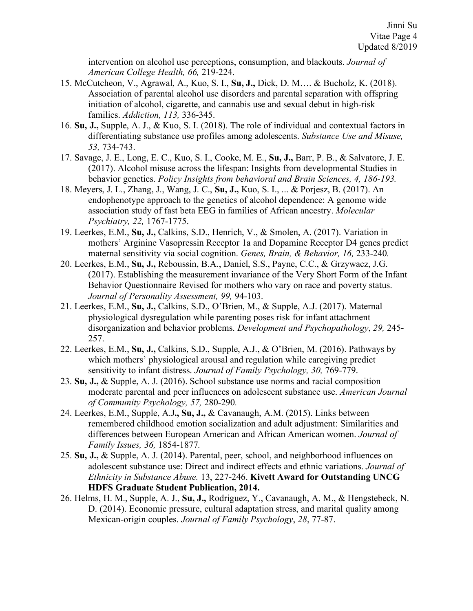intervention on alcohol use perceptions, consumption, and blackouts. *Journal of American College Health, 66,* 219-224.

- 15. McCutcheon, V., Agrawal, A., Kuo, S. I., **Su, J.,** Dick, D. M…. & Bucholz, K. (2018). Association of parental alcohol use disorders and parental separation with offspring initiation of alcohol, cigarette, and cannabis use and sexual debut in high-risk families. *Addiction, 113,* 336-345.
- 16. **Su, J.,** Supple, A. J., & Kuo, S. I. (2018). The role of individual and contextual factors in differentiating substance use profiles among adolescents. *Substance Use and Misuse, 53,* 734-743.
- 17. Savage, J. E., Long, E. C., Kuo, S. I., Cooke, M. E., **Su, J.,** Barr, P. B., & Salvatore, J. E. (2017). Alcohol misuse across the lifespan: Insights from developmental Studies in behavior genetics. *Policy Insights from behavioral and Brain Sciences, 4, 186-193.*
- 18. Meyers, J. L., Zhang, J., Wang, J. C., **Su, J.,** Kuo, S. I., ... & Porjesz, B. (2017). An endophenotype approach to the genetics of alcohol dependence: A genome wide association study of fast beta EEG in families of African ancestry. *Molecular Psychiatry, 22,* 1767-1775.
- 19. Leerkes, E.M., **Su, J.,** Calkins, S.D., Henrich, V., & Smolen, A. (2017). Variation in mothers' Arginine Vasopressin Receptor 1a and Dopamine Receptor D4 genes predict maternal sensitivity via social cognition. *Genes, Brain, & Behavior, 16,* 233-240*.*
- 20. Leerkes, E.M., **Su, J.,** Reboussin, B.A., Daniel, S.S., Payne, C.C., & Grzywacz, J.G. (2017). Establishing the measurement invariance of the Very Short Form of the Infant Behavior Questionnaire Revised for mothers who vary on race and poverty status. *Journal of Personality Assessment, 99,* 94-103.
- 21. Leerkes, E.M., **Su, J.,** Calkins, S.D., O'Brien, M., & Supple, A.J. (2017). Maternal physiological dysregulation while parenting poses risk for infant attachment disorganization and behavior problems. *Development and Psychopathology*, *29,* 245- 257.
- 22. Leerkes, E.M., **Su, J.,** Calkins, S.D., Supple, A.J., & O'Brien, M. (2016). Pathways by which mothers' physiological arousal and regulation while caregiving predict sensitivity to infant distress. *Journal of Family Psychology, 30,* 769-779.
- 23. **Su, J.,** & Supple, A. J. (2016). School substance use norms and racial composition moderate parental and peer influences on adolescent substance use. *American Journal of Community Psychology, 57,* 280-290*.*
- 24. Leerkes, E.M., Supple, A.J**., Su, J.,** & Cavanaugh, A.M. (2015). Links between remembered childhood emotion socialization and adult adjustment: Similarities and differences between European American and African American women. *Journal of Family Issues, 36,* 1854-1877*.*
- 25. **Su, J.,** & Supple, A. J. (2014). Parental, peer, school, and neighborhood influences on adolescent substance use: Direct and indirect effects and ethnic variations. *Journal of Ethnicity in Substance Abuse.* 13, 227-246. **Kivett Award for Outstanding UNCG HDFS Graduate Student Publication, 2014.**
- 26. Helms, H. M., Supple, A. J., **Su, J.,** Rodriguez, Y., Cavanaugh, A. M., & Hengstebeck, N. D. (2014). Economic pressure, cultural adaptation stress, and marital quality among Mexican-origin couples. *Journal of Family Psychology*, *28*, 77-87.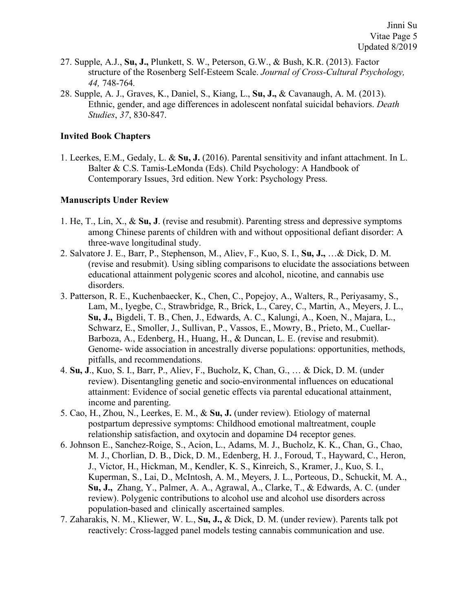- 27. Supple, A.J., **Su, J.,** Plunkett, S. W., Peterson, G.W., & Bush, K.R. (2013). Factor structure of the Rosenberg Self-Esteem Scale. *Journal of Cross-Cultural Psychology, 44,* 748-764*.*
- 28. Supple, A. J., Graves, K., Daniel, S., Kiang, L., **Su, J.,** & Cavanaugh, A. M. (2013). Ethnic, gender, and age differences in adolescent nonfatal suicidal behaviors. *Death Studies*, *37*, 830-847.

#### **Invited Book Chapters**

1. Leerkes, E.M., Gedaly, L. & **Su, J.** (2016). Parental sensitivity and infant attachment. In L. Balter & C.S. Tamis-LeMonda (Eds). Child Psychology: A Handbook of Contemporary Issues, 3rd edition. New York: Psychology Press.

#### **Manuscripts Under Review**

- 1. He, T., Lin, X., & **Su, J**. (revise and resubmit). Parenting stress and depressive symptoms among Chinese parents of children with and without oppositional defiant disorder: A three-wave longitudinal study.
- 2. Salvatore J. E., Barr, P., Stephenson, M., Aliev, F., Kuo, S. I., **Su, J.,** …& Dick, D. M. (revise and resubmit). Using sibling comparisons to elucidate the associations between educational attainment polygenic scores and alcohol, nicotine, and cannabis use disorders.
- 3. Patterson, R. E., Kuchenbaecker, K., Chen, C., Popejoy, A., Walters, R., Periyasamy, S., Lam, M., Iyegbe, C., Strawbridge, R., Brick, L., Carey, C., Martin, A., Meyers, J. L., **Su, J.,** Bigdeli, T. B., Chen, J., Edwards, A. C., Kalungi, A., Koen, N., Majara, L., Schwarz, E., Smoller, J., Sullivan, P., Vassos, E., Mowry, B., Prieto, M., Cuellar-Barboza, A., Edenberg, H., Huang, H., & Duncan, L. E. (revise and resubmit). Genome- wide association in ancestrally diverse populations: opportunities, methods, pitfalls, and recommendations.
- 4. **Su, J**., Kuo, S. I., Barr, P., Aliev, F., Bucholz, K, Chan, G., … & Dick, D. M. (under review). Disentangling genetic and socio-environmental influences on educational attainment: Evidence of social genetic effects via parental educational attainment, income and parenting.
- 5. Cao, H., Zhou, N., Leerkes, E. M., & **Su, J.** (under review). Etiology of maternal postpartum depressive symptoms: Childhood emotional maltreatment, couple relationship satisfaction, and oxytocin and dopamine D4 receptor genes.
- 6. Johnson E., Sanchez-Roige, S., Acion, L., Adams, M. J., Bucholz, K. K., Chan, G., Chao, M. J., Chorlian, D. B., Dick, D. M., Edenberg, H. J., Foroud, T., Hayward, C., Heron, J., Victor, H., Hickman, M., Kendler, K. S., Kinreich, S., Kramer, J., Kuo, S. I., Kuperman, S., Lai, D., McIntosh, A. M., Meyers, J. L., Porteous, D., Schuckit, M. A., **Su, J.,** Zhang, Y., Palmer, A. A., Agrawal, A., Clarke, T., & Edwards, A. C. (under review). Polygenic contributions to alcohol use and alcohol use disorders across population-based and clinically ascertained samples.
- 7. Zaharakis, N. M., Kliewer, W. L., **Su, J.,** & Dick, D. M. (under review). Parents talk pot reactively: Cross-lagged panel models testing cannabis communication and use.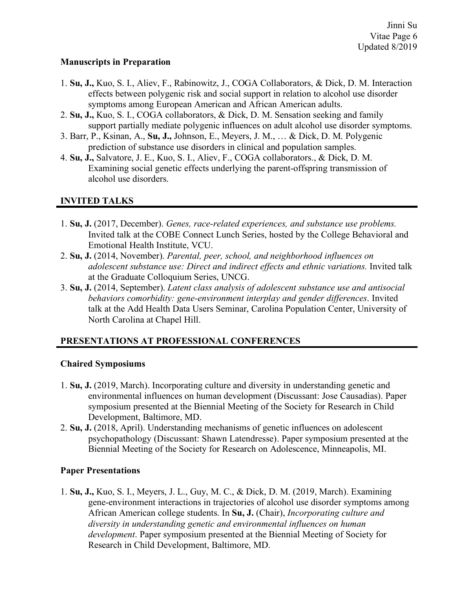## **Manuscripts in Preparation**

- 1. **Su, J.,** Kuo, S. I., Aliev, F., Rabinowitz, J., COGA Collaborators, & Dick, D. M. Interaction effects between polygenic risk and social support in relation to alcohol use disorder symptoms among European American and African American adults.
- 2. **Su, J.,** Kuo, S. I., COGA collaborators, & Dick, D. M. Sensation seeking and family support partially mediate polygenic influences on adult alcohol use disorder symptoms.
- 3. Barr, P., Ksinan, A., **Su, J.,** Johnson, E., Meyers, J. M., … & Dick, D. M. Polygenic prediction of substance use disorders in clinical and population samples.
- 4. **Su, J.,** Salvatore, J. E., Kuo, S. I., Aliev, F., COGA collaborators., & Dick, D. M. Examining social genetic effects underlying the parent-offspring transmission of alcohol use disorders.

# **INVITED TALKS**

- 1. **Su, J.** (2017, December). *Genes, race-related experiences, and substance use problems.* Invited talk at the COBE Connect Lunch Series, hosted by the College Behavioral and Emotional Health Institute, VCU.
- 2. **Su, J.** (2014, November). *Parental, peer, school, and neighborhood influences on adolescent substance use: Direct and indirect effects and ethnic variations.* Invited talk at the Graduate Colloquium Series, UNCG.
- 3. **Su, J.** (2014, September). *Latent class analysis of adolescent substance use and antisocial behaviors comorbidity: gene-environment interplay and gender differences*. Invited talk at the Add Health Data Users Seminar, Carolina Population Center, University of North Carolina at Chapel Hill.

# **PRESENTATIONS AT PROFESSIONAL CONFERENCES**

## **Chaired Symposiums**

- 1. **Su, J.** (2019, March). Incorporating culture and diversity in understanding genetic and environmental influences on human development (Discussant: Jose Causadias). Paper symposium presented at the Biennial Meeting of the Society for Research in Child Development, Baltimore, MD.
- 2. **Su, J.** (2018, April). Understanding mechanisms of genetic influences on adolescent psychopathology (Discussant: Shawn Latendresse). Paper symposium presented at the Biennial Meeting of the Society for Research on Adolescence, Minneapolis, MI.

# **Paper Presentations**

1. **Su, J.,** Kuo, S. I., Meyers, J. L., Guy, M. C., & Dick, D. M. (2019, March). Examining gene-environment interactions in trajectories of alcohol use disorder symptoms among African American college students. In **Su, J.** (Chair), *Incorporating culture and diversity in understanding genetic and environmental influences on human development*. Paper symposium presented at the Biennial Meeting of Society for Research in Child Development, Baltimore, MD.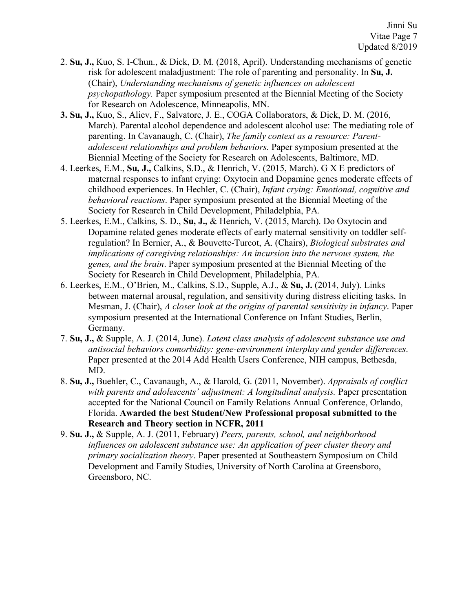- 2. **Su, J.,** Kuo, S. I-Chun., & Dick, D. M. (2018, April). Understanding mechanisms of genetic risk for adolescent maladjustment: The role of parenting and personality. In **Su, J.**  (Chair), *Understanding mechanisms of genetic influences on adolescent psychopathology.* Paper symposium presented at the Biennial Meeting of the Society for Research on Adolescence, Minneapolis, MN.
- **3. Su, J.,** Kuo, S., Aliev, F., Salvatore, J. E., COGA Collaborators, & Dick, D. M. (2016, March). Parental alcohol dependence and adolescent alcohol use: The mediating role of parenting. In Cavanaugh, C. (Chair), *The family context as a resource: Parentadolescent relationships and problem behaviors.* Paper symposium presented at the Biennial Meeting of the Society for Research on Adolescents, Baltimore, MD.
- 4. Leerkes, E.M., **Su, J.,** Calkins, S.D., & Henrich, V. (2015, March). G X E predictors of maternal responses to infant crying: Oxytocin and Dopamine genes moderate effects of childhood experiences. In Hechler, C. (Chair), *Infant crying: Emotional, cognitive and behavioral reactions*. Paper symposium presented at the Biennial Meeting of the Society for Research in Child Development, Philadelphia, PA.
- 5. Leerkes, E.M., Calkins, S. D., **Su, J.,** & Henrich, V. (2015, March). Do Oxytocin and Dopamine related genes moderate effects of early maternal sensitivity on toddler selfregulation? In Bernier, A., & Bouvette-Turcot, A. (Chairs), *Biological substrates and implications of caregiving relationships: An incursion into the nervous system, the genes, and the brain*. Paper symposium presented at the Biennial Meeting of the Society for Research in Child Development, Philadelphia, PA.
- 6. Leerkes, E.M., O'Brien, M., Calkins, S.D., Supple, A.J., & **Su, J.** (2014, July). Links between maternal arousal, regulation, and sensitivity during distress eliciting tasks. In Mesman, J. (Chair), *A closer look at the origins of parental sensitivity in infancy*. Paper symposium presented at the International Conference on Infant Studies, Berlin, Germany.
- 7. **Su, J.,** & Supple, A. J. (2014, June). *Latent class analysis of adolescent substance use and antisocial behaviors comorbidity: gene-environment interplay and gender differences*. Paper presented at the 2014 Add Health Users Conference, NIH campus, Bethesda, MD.
- 8. **Su, J.,** Buehler, C., Cavanaugh, A., & Harold, G. (2011, November). *Appraisals of conflict with parents and adolescents' adjustment: A longitudinal analysis.* Paper presentation accepted for the National Council on Family Relations Annual Conference, Orlando, Florida. **Awarded the best Student/New Professional proposal submitted to the Research and Theory section in NCFR, 2011**
- 9. **Su. J.,** & Supple, A. J. (2011, February) *Peers, parents, school, and neighborhood influences on adolescent substance use: An application of peer cluster theory and primary socialization theory*. Paper presented at Southeastern Symposium on Child Development and Family Studies, University of North Carolina at Greensboro, Greensboro, NC.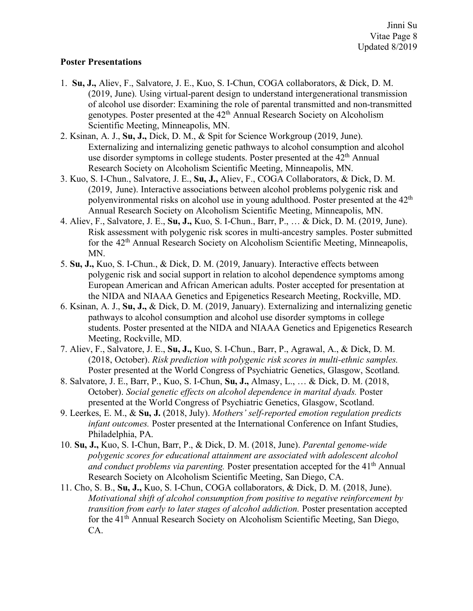#### **Poster Presentations**

- 1. **Su, J.,** Aliev, F., Salvatore, J. E., Kuo, S. I-Chun, COGA collaborators, & Dick, D. M. (2019, June). Using virtual-parent design to understand intergenerational transmission of alcohol use disorder: Examining the role of parental transmitted and non-transmitted genotypes. Poster presented at the 42<sup>th</sup> Annual Research Society on Alcoholism Scientific Meeting, Minneapolis, MN.
- 2. Ksinan, A. J., **Su, J.,** Dick, D. M., & Spit for Science Workgroup (2019, June). Externalizing and internalizing genetic pathways to alcohol consumption and alcohol use disorder symptoms in college students. Poster presented at the  $42<sup>th</sup>$  Annual Research Society on Alcoholism Scientific Meeting, Minneapolis, MN.
- 3. Kuo, S. I-Chun., Salvatore, J. E., **Su, J.,** Aliev, F., COGA Collaborators, & Dick, D. M. (2019, June). Interactive associations between alcohol problems polygenic risk and polyenvironmental risks on alcohol use in young adulthood. Poster presented at the 42th Annual Research Society on Alcoholism Scientific Meeting, Minneapolis, MN.
- 4. Aliev, F., Salvatore, J. E., **Su, J.,** Kuo, S. I-Chun., Barr, P., … & Dick, D. M. (2019, June). Risk assessment with polygenic risk scores in multi-ancestry samples. Poster submitted for the 42<sup>th</sup> Annual Research Society on Alcoholism Scientific Meeting, Minneapolis, MN.
- 5. **Su, J.,** Kuo, S. I-Chun., & Dick, D. M. (2019, January). Interactive effects between polygenic risk and social support in relation to alcohol dependence symptoms among European American and African American adults. Poster accepted for presentation at the NIDA and NIAAA Genetics and Epigenetics Research Meeting, Rockville, MD.
- 6. Ksinan, A. J., **Su, J.,** & Dick, D. M. (2019, January). Externalizing and internalizing genetic pathways to alcohol consumption and alcohol use disorder symptoms in college students. Poster presented at the NIDA and NIAAA Genetics and Epigenetics Research Meeting, Rockville, MD.
- 7. Aliev, F., Salvatore, J. E., **Su, J.,** Kuo, S. I-Chun., Barr, P., Agrawal, A., & Dick, D. M. (2018, October). *Risk prediction with polygenic risk scores in multi-ethnic samples.* Poster presented at the World Congress of Psychiatric Genetics, Glasgow, Scotland.
- 8. Salvatore, J. E., Barr, P., Kuo, S. I-Chun, **Su, J.,** Almasy, L., … & Dick, D. M. (2018, October). *Social genetic effects on alcohol dependence in marital dyads.* Poster presented at the World Congress of Psychiatric Genetics, Glasgow, Scotland.
- 9. Leerkes, E. M., & **Su, J.** (2018, July). *Mothers' self-reported emotion regulation predicts infant outcomes.* Poster presented at the International Conference on Infant Studies, Philadelphia, PA.
- 10. **Su, J.,** Kuo, S. I-Chun, Barr, P., & Dick, D. M. (2018, June). *Parental genome-wide polygenic scores for educational attainment are associated with adolescent alcohol and conduct problems via parenting.* Poster presentation accepted for the 41<sup>th</sup> Annual Research Society on Alcoholism Scientific Meeting, San Diego, CA.
- 11. Cho, S. B., **Su, J.,** Kuo, S. I-Chun, COGA collaborators, & Dick, D. M. (2018, June). *Motivational shift of alcohol consumption from positive to negative reinforcement by transition from early to later stages of alcohol addiction.* Poster presentation accepted for the 41th Annual Research Society on Alcoholism Scientific Meeting, San Diego, CA.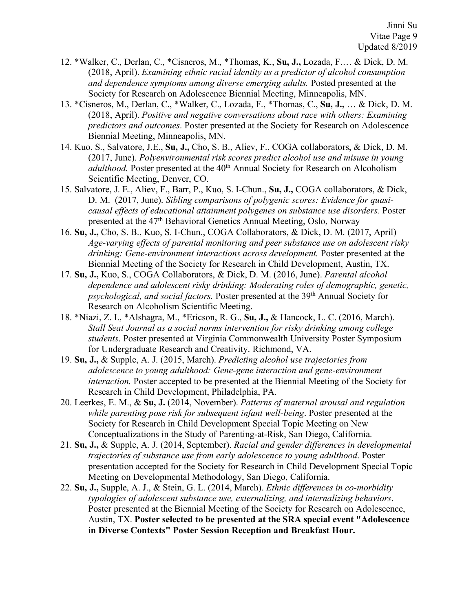- 12. \*Walker, C., Derlan, C., \*Cisneros, M., \*Thomas, K., **Su, J.,** Lozada, F.… & Dick, D. M. (2018, April). *Examining ethnic racial identity as a predictor of alcohol consumption and dependence symptoms among diverse emerging adults.* Posted presented at the Society for Research on Adolescence Biennial Meeting, Minneapolis, MN.
- 13. \*Cisneros, M., Derlan, C., \*Walker, C., Lozada, F., \*Thomas, C., **Su, J.,** … & Dick, D. M. (2018, April). *Positive and negative conversations about race with others: Examining predictors and outcomes*. Poster presented at the Society for Research on Adolescence Biennial Meeting, Minneapolis, MN.
- 14. Kuo, S., Salvatore, J.E., **Su, J.,** Cho, S. B., Aliev, F., COGA collaborators, & Dick, D. M. (2017, June). *Polyenvironmental risk scores predict alcohol use and misuse in young adulthood.* Poster presented at the 40<sup>th</sup> Annual Society for Research on Alcoholism Scientific Meeting, Denver, CO.
- 15. Salvatore, J. E., Aliev, F., Barr, P., Kuo, S. I-Chun., **Su, J.,** COGA collaborators, & Dick, D. M. (2017, June). *Sibling comparisons of polygenic scores: Evidence for quasicausal effects of educational attainment polygenes on substance use disorders.* Poster presented at the 47<sup>th</sup> Behavioral Genetics Annual Meeting, Oslo, Norway
- 16. **Su, J.,** Cho, S. B., Kuo, S. I-Chun., COGA Collaborators, & Dick, D. M. (2017, April) *Age-varying effects of parental monitoring and peer substance use on adolescent risky drinking: Gene-environment interactions across development.* Poster presented at the Biennial Meeting of the Society for Research in Child Development, Austin, TX.
- 17. **Su, J.,** Kuo, S., COGA Collaborators, & Dick, D. M. (2016, June). *Parental alcohol dependence and adolescent risky drinking: Moderating roles of demographic, genetic, psychological, and social factors.* Poster presented at the 39th Annual Society for Research on Alcoholism Scientific Meeting.
- 18. \*Niazi, Z. I., \*Alshagra, M., \*Ericson, R. G., **Su, J.,** & Hancock, L. C. (2016, March). *Stall Seat Journal as a social norms intervention for risky drinking among college students*. Poster presented at Virginia Commonwealth University Poster Symposium for Undergraduate Research and Creativity. Richmond, VA.
- 19. **Su, J.,** & Supple, A. J. (2015, March). *Predicting alcohol use trajectories from adolescence to young adulthood: Gene-gene interaction and gene-environment interaction.* Poster accepted to be presented at the Biennial Meeting of the Society for Research in Child Development, Philadelphia, PA.
- 20. Leerkes, E. M., & **Su, J.** (2014, November). *Patterns of maternal arousal and regulation while parenting pose risk for subsequent infant well-being*. Poster presented at the Society for Research in Child Development Special Topic Meeting on New Conceptualizations in the Study of Parenting-at-Risk, San Diego, California.
- 21. **Su, J.,** & Supple, A. J. (2014, September). *Racial and gender differences in developmental trajectories of substance use from early adolescence to young adulthood*. Poster presentation accepted for the Society for Research in Child Development Special Topic Meeting on Developmental Methodology, San Diego, California.
- 22. **Su, J.,** Supple, A. J., & Stein, G. L. (2014, March). *Ethnic differences in co-morbidity typologies of adolescent substance use, externalizing, and internalizing behaviors*. Poster presented at the Biennial Meeting of the Society for Research on Adolescence, Austin, TX. **Poster selected to be presented at the SRA special event "Adolescence in Diverse Contexts" Poster Session Reception and Breakfast Hour.**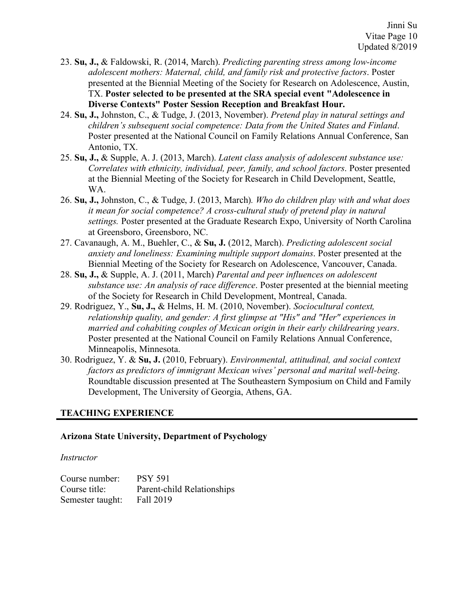- 23. **Su, J.,** & Faldowski, R. (2014, March). *Predicting parenting stress among low-income adolescent mothers: Maternal, child, and family risk and protective factors*. Poster presented at the Biennial Meeting of the Society for Research on Adolescence, Austin, TX. **Poster selected to be presented at the SRA special event "Adolescence in Diverse Contexts" Poster Session Reception and Breakfast Hour.**
- 24. **Su, J.,** Johnston, C., & Tudge, J. (2013, November). *Pretend play in natural settings and children's subsequent social competence: Data from the United States and Finland*. Poster presented at the National Council on Family Relations Annual Conference, San Antonio, TX.
- 25. **Su, J.,** & Supple, A. J. (2013, March). *Latent class analysis of adolescent substance use: Correlates with ethnicity, individual, peer, family, and school factors*. Poster presented at the Biennial Meeting of the Society for Research in Child Development, Seattle, WA.
- 26. **Su, J.,** Johnston, C., & Tudge, J. (2013, March)*. Who do children play with and what does it mean for social competence? A cross-cultural study of pretend play in natural settings.* Poster presented at the Graduate Research Expo, University of North Carolina at Greensboro, Greensboro, NC.
- 27. Cavanaugh, A. M., Buehler, C., & **Su, J.** (2012, March). *Predicting adolescent social anxiety and loneliness: Examining multiple support domains*. Poster presented at the Biennial Meeting of the Society for Research on Adolescence, Vancouver, Canada.
- 28. **Su, J.,** & Supple, A. J. (2011, March) *Parental and peer influences on adolescent substance use: An analysis of race difference*. Poster presented at the biennial meeting of the Society for Research in Child Development, Montreal, Canada.
- 29. Rodriguez, Y., **Su, J.,** & Helms, H. M. (2010, November). *Sociocultural context, relationship quality, and gender: A first glimpse at "His" and "Her" experiences in married and cohabiting couples of Mexican origin in their early childrearing years*. Poster presented at the National Council on Family Relations Annual Conference, Minneapolis, Minnesota.
- 30. Rodriguez, Y. & **Su, J.** (2010, February). *Environmental, attitudinal, and social context factors as predictors of immigrant Mexican wives' personal and marital well-being*. Roundtable discussion presented at The Southeastern Symposium on Child and Family Development, The University of Georgia, Athens, GA.

## **TEACHING EXPERIENCE**

## **Arizona State University, Department of Psychology**

#### *Instructor*

| Course number:   | <b>PSY 591</b>             |
|------------------|----------------------------|
| Course title:    | Parent-child Relationships |
| Semester taught: | Fall 2019                  |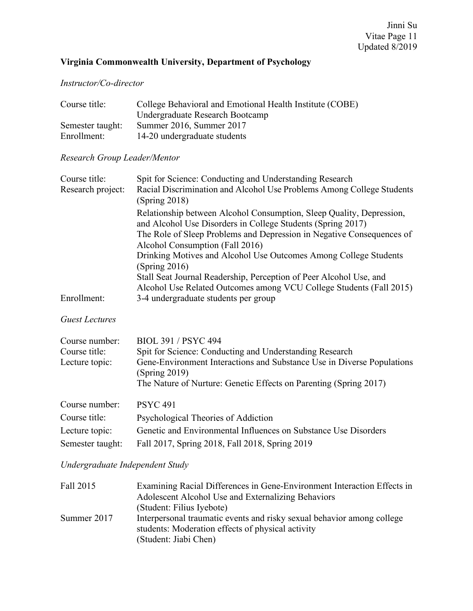# **Virginia Commonwealth University, Department of Psychology**

## *Instructor/Co-director*

| Course title:    | College Behavioral and Emotional Health Institute (COBE) |
|------------------|----------------------------------------------------------|
|                  | Undergraduate Research Bootcamp                          |
| Semester taught: | Summer 2016, Summer 2017                                 |
| Enrollment:      | 14-20 undergraduate students                             |

# *Research Group Leader/Mentor*

| Course title:<br>Research project:                | Spit for Science: Conducting and Understanding Research<br>Racial Discrimination and Alcohol Use Problems Among College Students<br>(Spring 2018)                                                                                                     |
|---------------------------------------------------|-------------------------------------------------------------------------------------------------------------------------------------------------------------------------------------------------------------------------------------------------------|
|                                                   | Relationship between Alcohol Consumption, Sleep Quality, Depression,<br>and Alcohol Use Disorders in College Students (Spring 2017)<br>The Role of Sleep Problems and Depression in Negative Consequences of<br>Alcohol Consumption (Fall 2016)       |
|                                                   | Drinking Motives and Alcohol Use Outcomes Among College Students<br>(Spring 2016)<br>Stall Seat Journal Readership, Perception of Peer Alcohol Use, and                                                                                               |
| Enrollment:                                       | Alcohol Use Related Outcomes among VCU College Students (Fall 2015)<br>3-4 undergraduate students per group                                                                                                                                           |
| <b>Guest Lectures</b>                             |                                                                                                                                                                                                                                                       |
| Course number:<br>Course title:<br>Lecture topic: | <b>BIOL 391 / PSYC 494</b><br>Spit for Science: Conducting and Understanding Research<br>Gene-Environment Interactions and Substance Use in Diverse Populations<br>(Spring 2019)<br>The Nature of Nurture: Genetic Effects on Parenting (Spring 2017) |
| Course number:                                    | <b>PSYC 491</b>                                                                                                                                                                                                                                       |
| Course title:                                     | Psychological Theories of Addiction                                                                                                                                                                                                                   |
| Lecture topic:                                    | Genetic and Environmental Influences on Substance Use Disorders                                                                                                                                                                                       |
| Semester taught:                                  | Fall 2017, Spring 2018, Fall 2018, Spring 2019                                                                                                                                                                                                        |

*Undergraduate Independent Study*

| Fall 2015   | Examining Racial Differences in Gene-Environment Interaction Effects in<br>Adolescent Alcohol Use and Externalizing Behaviors<br>(Student: Filius Iyebote) |
|-------------|------------------------------------------------------------------------------------------------------------------------------------------------------------|
| Summer 2017 | Interpersonal traumatic events and risky sexual behavior among college<br>students: Moderation effects of physical activity<br>(Student: Jiabi Chen)       |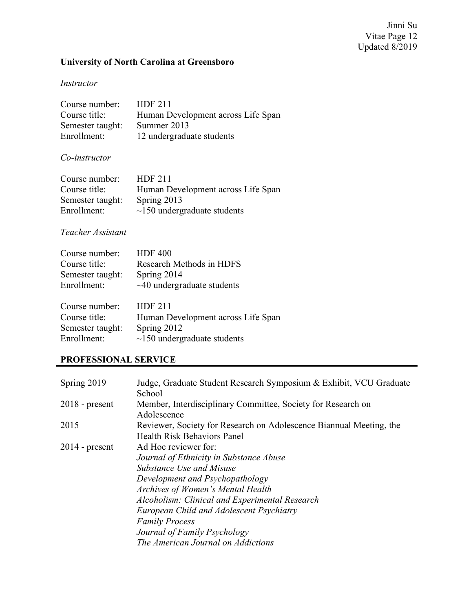## Jinni Su Vitae Page 12 Updated 8/2019

# **University of North Carolina at Greensboro**

# *Instructor*

| Course number:   | <b>HDF 211</b>                     |
|------------------|------------------------------------|
| Course title:    | Human Development across Life Span |
| Semester taught: | Summer 2013                        |
| Enrollment:      | 12 undergraduate students          |

#### *Co-instructor*

| Course number:   | <b>HDF 211</b>                     |
|------------------|------------------------------------|
| Course title:    | Human Development across Life Span |
| Semester taught: | Spring 2013                        |
| Enrollment:      | $\sim$ 150 undergraduate students  |

#### *Teacher Assistant*

| Course number:   | <b>HDF 400</b>                     |
|------------------|------------------------------------|
| Course title:    | Research Methods in HDFS           |
| Semester taught: | Spring 2014                        |
| Enrollment:      | $\sim$ 40 undergraduate students   |
|                  |                                    |
| Course number:   | <b>HDF 211</b>                     |
| Course title:    | Human Development across Life Span |
| Semester taught: | Spring 2012                        |
| Enrollment:      | $\sim$ 150 undergraduate students  |

# **PROFESSIONAL SERVICE**

| Spring 2019      | Judge, Graduate Student Research Symposium & Exhibit, VCU Graduate<br>School                                                                                                                                                                                                                                               |
|------------------|----------------------------------------------------------------------------------------------------------------------------------------------------------------------------------------------------------------------------------------------------------------------------------------------------------------------------|
| $2018$ - present | Member, Interdisciplinary Committee, Society for Research on<br>Adolescence                                                                                                                                                                                                                                                |
| 2015             | Reviewer, Society for Research on Adolescence Biannual Meeting, the<br><b>Health Risk Behaviors Panel</b>                                                                                                                                                                                                                  |
| $2014$ - present | Ad Hoc reviewer for:<br>Journal of Ethnicity in Substance Abuse<br>Substance Use and Misuse<br>Development and Psychopathology<br>Archives of Women's Mental Health<br>Alcoholism: Clinical and Experimental Research<br>European Child and Adolescent Psychiatry<br><b>Family Process</b><br>Journal of Family Psychology |
|                  | The American Journal on Addictions                                                                                                                                                                                                                                                                                         |